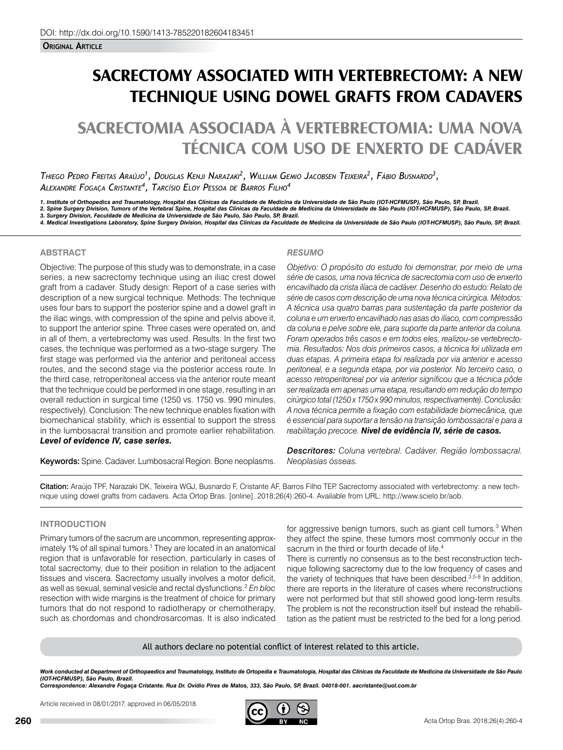## **SACRECTOMY ASSOCIATED WITH VERTEBRECTOMY: A NEW TECHNIQUE USING DOWEL GRAFTS FROM CADAVERS**

# **SACRECTOMIA ASSOCIADA À VERTEBRECTOMIA: UMA NOVA TÉCNICA COM USO DE ENXERTO DE CADÁVER**

*Thiego Pedro Freitas Araújo1 , Douglas Kenji Narazaki 2 , William Gemio Jacobsen Teixeira2 , Fábio Busnardo3 , Alexandre Fogaça Cristante4 , Tarcísio Eloy Pessoa de Barros Filho4*

*1. Institute of Orthopedics and Traumatology, Hospital das Clínicas da Faculdade de Medicina da Universidade de São Paulo (IOT-HCFMUSP), São Paulo, SP, Brazil.* 

2. Spine Surgery Division, Tumors of the Vertebral Spine, Hospital das Clínicas da Faculdade de Medicina da Universidade de São Paulo (IOT-HCFMUSP), São Paulo, SP, Brazil.<br>3. Surgery Division, Faculdade de Medicina da Univ

*4. Medical Investigations Laboratory, Spine Surgery Division, Hospital das Clínicas da Faculdade de Medicina da Universidade de São Paulo (IOT-HCFMUSP), São Paulo, SP, Brazil.* 

## **ABSTRACT**

Objective: The purpose of this study was to demonstrate, in a case series, a new sacrectomy technique using an iliac crest dowel graft from a cadaver. Study design: Report of a case series with description of a new surgical technique. Methods: The technique uses four bars to support the posterior spine and a dowel graft in the iliac wings, with compression of the spine and pelvis above it, to support the anterior spine. Three cases were operated on, and in all of them, a vertebrectomy was used. Results: In the first two cases, the technique was performed as a two-stage surgery. The first stage was performed via the anterior and peritoneal access routes, and the second stage via the posterior access route. In the third case, retroperitoneal access via the anterior route meant that the technique could be performed in one stage, resulting in an overall reduction in surgical time (1250 vs. 1750 vs. 990 minutes, respectively). Conclusion: The new technique enables fixation with biomechanical stability, which is essential to support the stress in the lumbosacral transition and promote earlier rehabilitation. *Level of evidence IV, case series.*

## *RESUMO*

*Objetivo: O propósito do estudo foi demonstrar, por meio de uma série de casos, uma nova técnica de sacrectomia com uso de enxerto encavilhado da crista ilíaca de cadáver. Desenho do estudo: Relato de série de casos com descrição de uma nova técnica cirúrgica. Métodos: A técnica usa quatro barras para sustentação da parte posterior da coluna e um enxerto encavilhado nas asas do ilíaco, com compressão da coluna e pelve sobre ele, para suporte da parte anterior da coluna. Foram operados três casos e em todos eles, realizou-se vertebrectomia. Resultados: Nos dois primeiros casos, a técnica foi utilizada em duas etapas. A primeira etapa foi realizada por via anterior e acesso peritoneal, e a segunda etapa, por via posterior. No terceiro caso, o acesso retroperitoneal por via anterior significou que a técnica pôde ser realizada em apenas uma etapa, resultando em redução do tempo cirúrgico total (1250 x 1750 x 990 minutos, respectivamente). Conclusão: A nova técnica permite a fixação com estabilidade biomecânica, que é essencial para suportar a tensão na transição lombossacral e para a reabilitação precoce. Nível de evidência IV, série de casos.*

Keywords: Spine. Cadaver. Lumbosacral Region. Bone neoplasms.

*Descritores: Coluna vertebral. Cadáver. Região lombossacral. Neoplasias ósseas.*

Citation: Araújo TPF, Narazaki DK, Teixeira WGJ, Busnardo F, Cristante AF, Barros Filho TEP. Sacrectomy associated with vertebrectomy: a new technique using dowel grafts from cadavers. Acta Ortop Bras. [online]. 2018;26(4):260-4. Available from URL: http://www.scielo.br/aob.

## **INTRODUCTION**

Primary tumors of the sacrum are uncommon, representing approximately 1% of all spinal tumors.<sup>1</sup> They are located in an anatomical region that is unfavorable for resection, particularly in cases of total sacrectomy, due to their position in relation to the adjacent tissues and viscera. Sacrectomy usually involves a motor deficit, as well as sexual, seminal vesicle and rectal dysfunctions.2 *En bloc* resection with wide margins is the treatment of choice for primary tumors that do not respond to radiotherapy or chemotherapy, such as chordomas and chondrosarcomas. It is also indicated

for aggressive benign tumors, such as giant cell tumors.<sup>3</sup> When they affect the spine, these tumors most commonly occur in the sacrum in the third or fourth decade of life.<sup>4</sup>

There is currently no consensus as to the best reconstruction technique following sacrectomy due to the low frequency of cases and the variety of techniques that have been described.<sup>3,5-8</sup> In addition, there are reports in the literature of cases where reconstructions were not performed but that still showed good long-term results. The problem is not the reconstruction itself but instead the rehabilitation as the patient must be restricted to the bed for a long period.

All authors declare no potential conflict of interest related to this article.

*Work conducted at Department of Orthopaedics and Traumatology, Instituto de Ortopedia e Traumatologia, Hospital das Clínicas da Faculdade de Medicina da Universidade de São Paulo (IOT-HCFMUSP), São Paulo, Brazil. Correspondence: Alexandre Fogaça Cristante. Rua Dr. Ovídio Pires de Matos, 333, São Paulo, SP, Brazil. 04018-001. aacristante@uol.com.br*

Article received in 08/01/2017, approved in 06/05/2018.

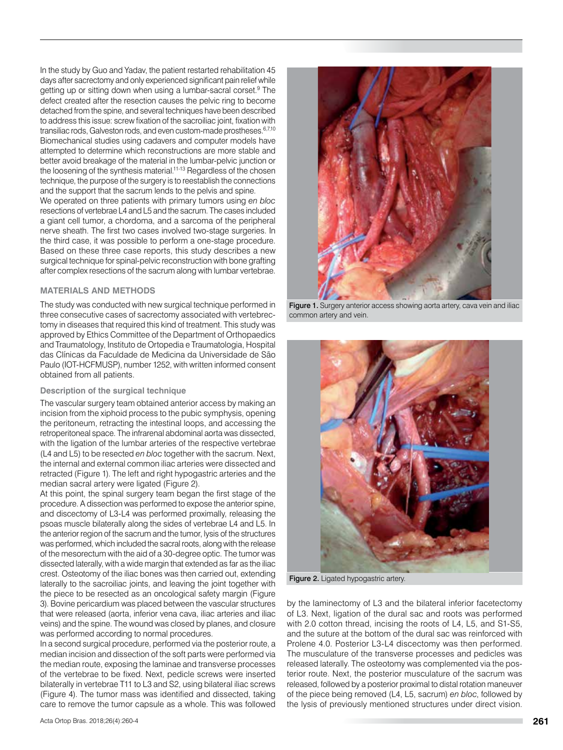In the study by Guo and Yadav, the patient restarted rehabilitation 45 days after sacrectomy and only experienced significant pain relief while getting up or sitting down when using a lumbar-sacral corset.<sup>9</sup> The defect created after the resection causes the pelvic ring to become detached from the spine, and several techniques have been described to address this issue: screw fixation of the sacroiliac joint, fixation with transiliac rods, Galveston rods, and even custom-made prostheses.<sup>6,7,10</sup> Biomechanical studies using cadavers and computer models have attempted to determine which reconstructions are more stable and better avoid breakage of the material in the lumbar-pelvic junction or the loosening of the synthesis material.11-13 Regardless of the chosen technique, the purpose of the surgery is to reestablish the connections and the support that the sacrum lends to the pelvis and spine.

We operated on three patients with primary tumors using *en bloc* resections of vertebrae L4 and L5 and the sacrum. The cases included a giant cell tumor, a chordoma, and a sarcoma of the peripheral nerve sheath. The first two cases involved two-stage surgeries. In the third case, it was possible to perform a one-stage procedure. Based on these three case reports, this study describes a new surgical technique for spinal-pelvic reconstruction with bone grafting after complex resections of the sacrum along with lumbar vertebrae.

## **MATERIALS AND METHODS**

The study was conducted with new surgical technique performed in three consecutive cases of sacrectomy associated with vertebrectomy in diseases that required this kind of treatment. This study was approved by Ethics Committee of the Department of Orthopaedics and Traumatology, Instituto de Ortopedia e Traumatologia, Hospital das Clínicas da Faculdade de Medicina da Universidade de São Paulo (IOT-HCFMUSP), number 1252, with written informed consent obtained from all patients.

#### **Description of the surgical technique**

The vascular surgery team obtained anterior access by making an incision from the xiphoid process to the pubic symphysis, opening the peritoneum, retracting the intestinal loops, and accessing the retroperitoneal space. The infrarenal abdominal aorta was dissected, with the ligation of the lumbar arteries of the respective vertebrae (L4 and L5) to be resected *en bloc* together with the sacrum. Next, the internal and external common iliac arteries were dissected and retracted (Figure 1). The left and right hypogastric arteries and the median sacral artery were ligated (Figure 2).

At this point, the spinal surgery team began the first stage of the procedure. A dissection was performed to expose the anterior spine, and discectomy of L3-L4 was performed proximally, releasing the psoas muscle bilaterally along the sides of vertebrae L4 and L5. In the anterior region of the sacrum and the tumor, lysis of the structures was performed, which included the sacral roots, along with the release of the mesorectum with the aid of a 30-degree optic. The tumor was dissected laterally, with a wide margin that extended as far as the iliac crest. Osteotomy of the iliac bones was then carried out, extending laterally to the sacroiliac joints, and leaving the joint together with the piece to be resected as an oncological safety margin (Figure 3). Bovine pericardium was placed between the vascular structures that were released (aorta, inferior vena cava, iliac arteries and iliac veins) and the spine. The wound was closed by planes, and closure was performed according to normal procedures.

In a second surgical procedure, performed via the posterior route, a median incision and dissection of the soft parts were performed via the median route, exposing the laminae and transverse processes of the vertebrae to be fixed. Next, pedicle screws were inserted bilaterally in vertebrae T11 to L3 and S2, using bilateral iliac screws (Figure 4). The tumor mass was identified and dissected, taking care to remove the tumor capsule as a whole. This was followed



Figure 1. Surgery anterior access showing aorta artery, cava vein and iliac common artery and vein.



Figure 2. Ligated hypogastric artery.

by the laminectomy of L3 and the bilateral inferior facetectomy of L3. Next, ligation of the dural sac and roots was performed with 2.0 cotton thread, incising the roots of L4, L5, and S1-S5, and the suture at the bottom of the dural sac was reinforced with Prolene 4.0. Posterior L3-L4 discectomy was then performed. The musculature of the transverse processes and pedicles was released laterally. The osteotomy was complemented via the posterior route. Next, the posterior musculature of the sacrum was released, followed by a posterior proximal to distal rotation maneuver of the piece being removed (L4, L5, sacrum) *en bloc*, followed by the lysis of previously mentioned structures under direct vision.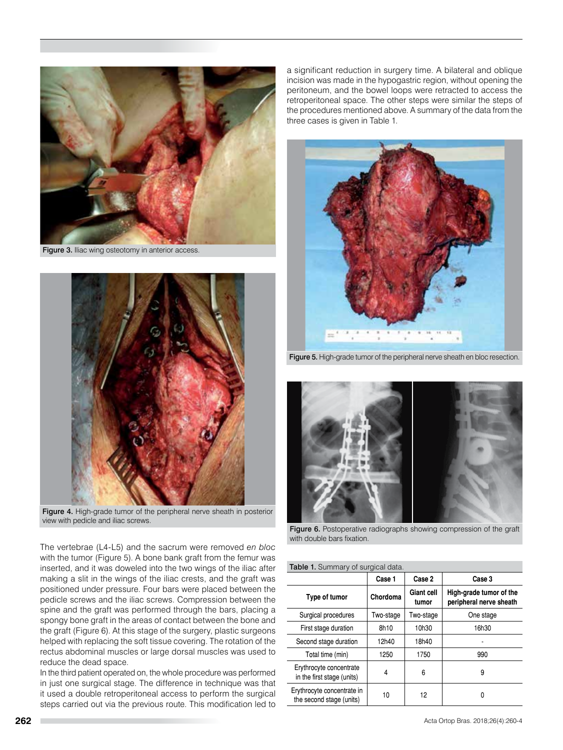

Figure 3. Iliac wing osteotomy in anterior access.



Figure 4. High-grade tumor of the peripheral nerve sheath in posterior view with pedicle and iliac screws.

The vertebrae (L4-L5) and the sacrum were removed *en bloc* with the tumor (Figure 5). A bone bank graft from the femur was inserted, and it was doweled into the two wings of the iliac after making a slit in the wings of the iliac crests, and the graft was positioned under pressure. Four bars were placed between the pedicle screws and the iliac screws. Compression between the spine and the graft was performed through the bars, placing a spongy bone graft in the areas of contact between the bone and the graft (Figure 6). At this stage of the surgery, plastic surgeons helped with replacing the soft tissue covering. The rotation of the rectus abdominal muscles or large dorsal muscles was used to reduce the dead space.

In the third patient operated on, the whole procedure was performed in just one surgical stage. The difference in technique was that it used a double retroperitoneal access to perform the surgical steps carried out via the previous route. This modification led to a significant reduction in surgery time. A bilateral and oblique incision was made in the hypogastric region, without opening the peritoneum, and the bowel loops were retracted to access the retroperitoneal space. The other steps were similar the steps of the procedures mentioned above. A summary of the data from the three cases is given in Table 1.



Figure 5. High-grade tumor of the peripheral nerve sheath en bloc resection.



Figure 6. Postoperative radiographs showing compression of the graft with double bars fixation.

| <b>Table 1.</b> Summary of surgical data.              |           |                     |                                                    |  |  |
|--------------------------------------------------------|-----------|---------------------|----------------------------------------------------|--|--|
|                                                        | Case 1    | Case 2              | Case 3                                             |  |  |
| Type of tumor                                          | Chordoma  | Giant cell<br>tumor | High-grade tumor of the<br>peripheral nerve sheath |  |  |
| Surgical procedures                                    | Two-stage | Two-stage           | One stage                                          |  |  |
| First stage duration                                   | 8h10      | 10h30               | 16h30                                              |  |  |
| Second stage duration                                  | 12h40     | 18h40               |                                                    |  |  |
| Total time (min)                                       | 1250      | 1750                | 990                                                |  |  |
| Erythrocyte concentrate<br>in the first stage (units)  | 4         | 6                   | 9                                                  |  |  |
| Erythrocyte concentrate in<br>the second stage (units) | 10        | 12                  | n                                                  |  |  |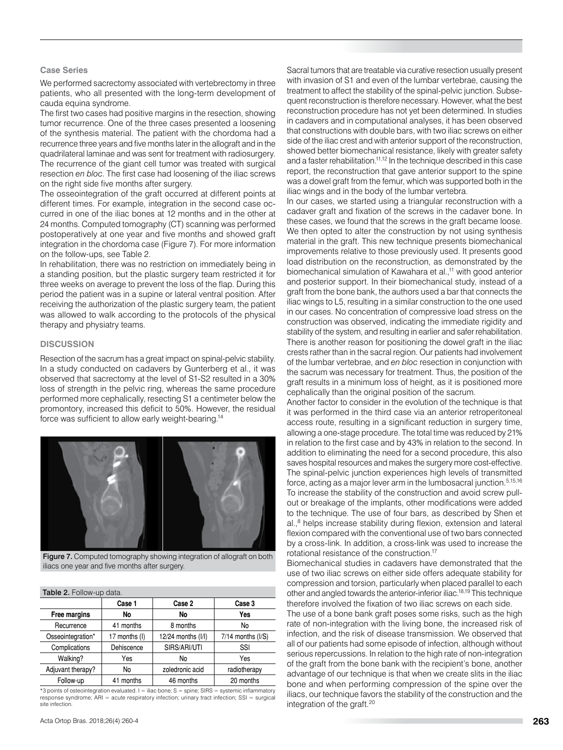### **Case Series**

We performed sacrectomy associated with vertebrectomy in three patients, who all presented with the long-term development of cauda equina syndrome.

The first two cases had positive margins in the resection, showing tumor recurrence. One of the three cases presented a loosening of the synthesis material. The patient with the chordoma had a recurrence three years and five months later in the allograft and in the quadrilateral laminae and was sent for treatment with radiosurgery. The recurrence of the giant cell tumor was treated with surgical resection *en bloc*. The first case had loosening of the iliac screws on the right side five months after surgery.

The osseointegration of the graft occurred at different points at different times. For example, integration in the second case occurred in one of the iliac bones at 12 months and in the other at 24 months. Computed tomography (CT) scanning was performed postoperatively at one year and five months and showed graft integration in the chordoma case (Figure 7). For more information on the follow-ups, see Table 2.

In rehabilitation, there was no restriction on immediately being in a standing position, but the plastic surgery team restricted it for three weeks on average to prevent the loss of the flap. During this period the patient was in a supine or lateral ventral position. After receiving the authorization of the plastic surgery team, the patient was allowed to walk according to the protocols of the physical therapy and physiatry teams.

## **DISCUSSION**

Resection of the sacrum has a great impact on spinal-pelvic stability. In a study conducted on cadavers by Gunterberg et al., it was observed that sacrectomy at the level of S1-S2 resulted in a 30% loss of strength in the pelvic ring, whereas the same procedure performed more cephalically, resecting S1 a centimeter below the promontory, increased this deficit to 50%. However, the residual force was sufficient to allow early weight-bearing.14



Figure 7. Computed tomography showing integration of allograft on both iliacs one year and five months after surgery.

| Table 2. Follow-up data. |               |                    |                       |  |  |
|--------------------------|---------------|--------------------|-----------------------|--|--|
|                          | Case 1        | Case 2             | Case 3                |  |  |
| <b>Free margins</b>      | No            | No                 | Yes                   |  |  |
| Recurrence               | 41 months     | 8 months           | No                    |  |  |
| Osseointegration*        | 17 months (I) | 12/24 months (I/I) | $7/14$ months $(I/S)$ |  |  |
| Complications            | Dehiscence    | SIRS/ARI/UTI       | SSI                   |  |  |
| Walking?                 | Yes           | No                 | Yes                   |  |  |
| Adjuvant therapy?        | No            | zoledronic acid    | radiotherapy          |  |  |
| Follow-up                | 41 months     | 46 months          | 20 months             |  |  |

\*3 points of osteointegration evaluated. I = iliac bone; S = spine; SIRS = systemic inflammatory response syndrome; ARI = acute respiratory infection; urinary tract infection; SSI = surgical site infection.

Sacral tumors that are treatable via curative resection usually present with invasion of S1 and even of the lumbar vertebrae, causing the treatment to affect the stability of the spinal-pelvic junction. Subsequent reconstruction is therefore necessary. However, what the best reconstruction procedure has not yet been determined. In studies in cadavers and in computational analyses, it has been observed that constructions with double bars, with two iliac screws on either side of the iliac crest and with anterior support of the reconstruction, showed better biomechanical resistance, likely with greater safety and a faster rehabilitation.<sup>11,12</sup> In the technique described in this case report, the reconstruction that gave anterior support to the spine was a dowel graft from the femur, which was supported both in the iliac wings and in the body of the lumbar vertebra.

In our cases, we started using a triangular reconstruction with a cadaver graft and fixation of the screws in the cadaver bone. In these cases, we found that the screws in the graft became loose. We then opted to alter the construction by not using synthesis material in the graft. This new technique presents biomechanical improvements relative to those previously used. It presents good load distribution on the reconstruction, as demonstrated by the biomechanical simulation of Kawahara et al.,<sup>11</sup> with good anterior and posterior support. In their biomechanical study, instead of a graft from the bone bank, the authors used a bar that connects the iliac wings to L5, resulting in a similar construction to the one used in our cases. No concentration of compressive load stress on the construction was observed, indicating the immediate rigidity and stability of the system, and resulting in earlier and safer rehabilitation. There is another reason for positioning the dowel graft in the iliac crests rather than in the sacral region. Our patients had involvement of the lumbar vertebrae, and *en bloc* resection in conjunction with the sacrum was necessary for treatment. Thus, the position of the graft results in a minimum loss of height, as it is positioned more cephalically than the original position of the sacrum.

Another factor to consider in the evolution of the technique is that it was performed in the third case via an anterior retroperitoneal access route, resulting in a significant reduction in surgery time, allowing a one-stage procedure. The total time was reduced by 21% in relation to the first case and by 43% in relation to the second. In addition to eliminating the need for a second procedure, this also saves hospital resources and makes the surgery more cost-effective. The spinal-pelvic junction experiences high levels of transmitted force, acting as a major lever arm in the lumbosacral junction.5,15,16 To increase the stability of the construction and avoid screw pullout or breakage of the implants, other modifications were added to the technique. The use of four bars, as described by Shen et al.,<sup>8</sup> helps increase stability during flexion, extension and lateral flexion compared with the conventional use of two bars connected by a cross-link. In addition, a cross-link was used to increase the rotational resistance of the construction.17

Biomechanical studies in cadavers have demonstrated that the use of two iliac screws on either side offers adequate stability for compression and torsion, particularly when placed parallel to each other and angled towards the anterior-inferior iliac.<sup>18,19</sup> This technique therefore involved the fixation of two iliac screws on each side.

The use of a bone bank graft poses some risks, such as the high rate of non-integration with the living bone, the increased risk of infection, and the risk of disease transmission. We observed that all of our patients had some episode of infection, although without serious repercussions. In relation to the high rate of non-integration of the graft from the bone bank with the recipient's bone, another advantage of our technique is that when we create slits in the iliac bone and when performing compression of the spine over the iliacs, our technique favors the stability of the construction and the integration of the graft.<sup>20</sup>